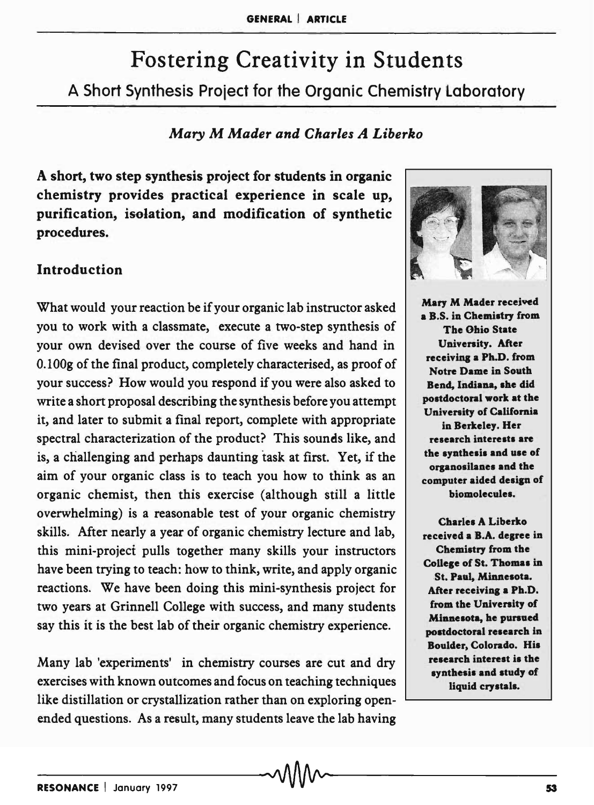# Fostering Creativity in Students A Short Synthesis Proiect for the Organic Chemistry Laboratory

# *Mary* M *Mader and Charles A Liberko*

A short, two step synthesis project for students in organic chemistry provides practical experience in scale up, purification, iselation, and modification of synthetic procedures.

# Introduction

What would your reaction be if your organic lab instructor asked you to work with a classmate, execute a two-step synthesis of your own devised over the course of five weeks and hand in 0.100g of the final product, completely characterised, as proof of your success? How would you respond if you were also asked to write a short proposal describing the synthesis before you attempt it, and later to submit a final report, complete with appropriate spectral characterization of the product? This sounds like, and is, a challenging and perhaps daunting task at first. Yet, if the aim of your organic class is to teach you how to think as an organic chemist, then this exercise (although still a little overwhelming) is a reasonable test of your organic chemistry skills. After nearly a year of organic chemistry lecture and lab, this mini-project pulls together many skills your instructors have been trying to teach: how to think, write, and apply organic reactions. We have been doing this mini-synthesis project for two years at Grinnell College with success, and many students say this it is the best lab of their organic chemistry experience.

Many lab 'experiments' in chemistry courses are cut and dry exercises with known outcomes and focus on teaching techniques like distillation or crystallization rather than on exploring openended questions. As a result, many students leave the lab having



Mary M Mader received a B.S. in Chemistry from The Ohio State University. After receiving a Ph.D. from Notre Dame in South Bend, Indiana, she did postdoctoral work at the University of California in Berkeley. Her research interests are the synthesis and use of organosilanes and the computer aided design of biomolecules.

Charles A Liberko received a B.A. degree in Chemistry from the College of St. Thomas in St. Paul. Minnesota. After receiving a Ph.D. from the University of Minnesota, he pursued postdoctoral research in Boulder, Colorado. His research interest is the synthesis and study of liquid crystals.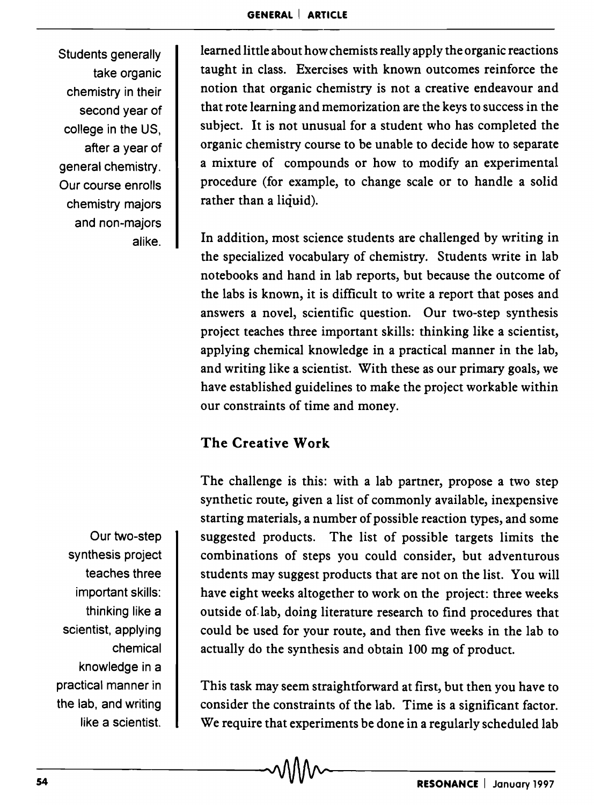Students generally take organic chemistry in their second year of college in the US, after a year of general chemistry. Our course enrolls chemistry majors and non-majors alike.

learned little about how chemists really apply the organic reactions taught in class. Exercises with known outcomes reinforce the notion that organic chemistry is not a creative endeavour and that rote learning and memorization are the keys to success in the subject. It is not unusual for a student who has completed the organic chemistry course to be unable to decide how to separate a mixture of compounds or how to modify an experimental procedure (for example, to change scale or to handle a solid rather than a liquid).

In addition, most science students are challenged by writing in the specialized vocabulary of chemistry. Students write in lab notebooks and hand in lab reports, but because the outcome of the labs is known, it is difficult to write a report that poses and answers a novel, scientific question. Our two-step synthesis project teaches three important skills: thinking like a scientist, applying chemical knowledge in a practical manner in the lab, and writing like a scientist. With these as our primary goals, we have established guidelines to make the project workable within our constraints of time and money.

# The Creative Work

The challenge is this: with a lab partner, propose a two step synthetic route, given a list of commonly available, inexpensive starting materials, a number of possible reaction types, and some suggested products. The list of possible targets limits the combinations of steps you could consider, but adventurous students may suggest products that are not on the list. You will have eight weeks altogether to work on the project: three weeks outside of-lab, doing literature research to find procedures that could be used for your route, and then five weeks in the lab to actually do the synthesis and obtain 100 mg of product.

This task may seem straightforward at first, but then you have to consider the constraints of the lab. Time is a significant factor. We require that experiments be done in a regularly scheduled lab

Our two-step synthesis project teaches three important skills: thinking like a scientist, applying chemical knowledge in a practical manner in the lab, and writing like a scientist.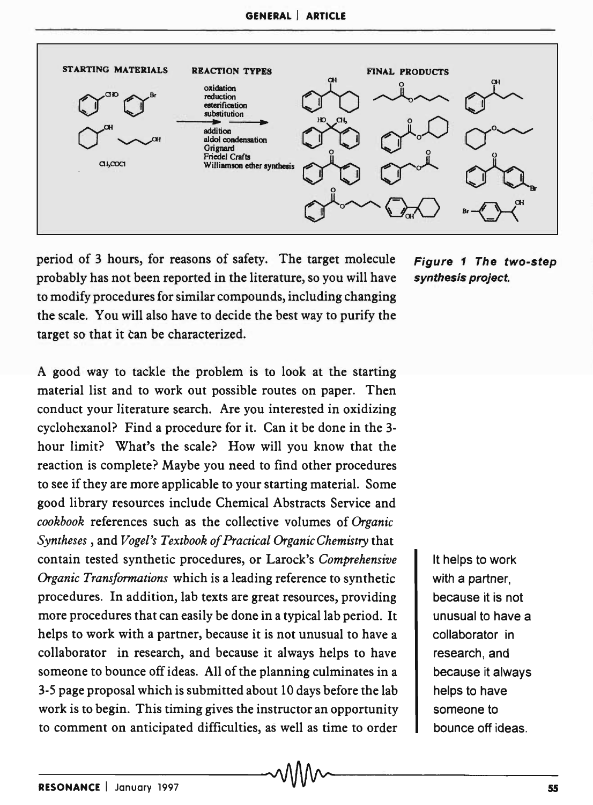

period of 3 hours, for reasons of safety. The target molecule Figure 1 The two-step probably has not been reported in the literature, so you will have synthesis project. to modify procedures for similar compounds, including changing the scale. You will also have to decide the best way to purify the target so that it can be characterized.

A good way to tackle the problem is to look at the starting material list and to work out possible routes on paper. Then conduct your literature search. Are you interested in oxidizing cyclohexanol? Find a procedure for it. Can it be done in the 3 hour limit? What's the scale? How will you know that the reaction is complete? Maybe you need to find other procedures to see if they are more applicable to your starting material. Some good library resources include Chemical Abstracts Service and *cookbook* references such as the collective volumes of *Organic Syntheses,* and *Vogel's Textbook of Practical Organic Chemistry* that contain tested synthetic procedures, or Larock's *Comprehensive Organic Transformations* which is a leading reference to synthetic procedures. In addition, lab texts are great resources, providing more procedures that can easily be done in a typical lab period. It helps to work with a partner, because it is not unusual to have a collaborator in research, and because it always helps to have someone to bounce off ideas. All of the planning culminates in a 3-5 page proposal which is submitted about 10 days before the lab work is to begin. This timing gives the instructor an opportunity to comment on anticipated difficulties, as well as time to order

It helps to work with a partner, because it is not unusual to have a collaborator in research, and because it always helps to have someone to bounce off ideas.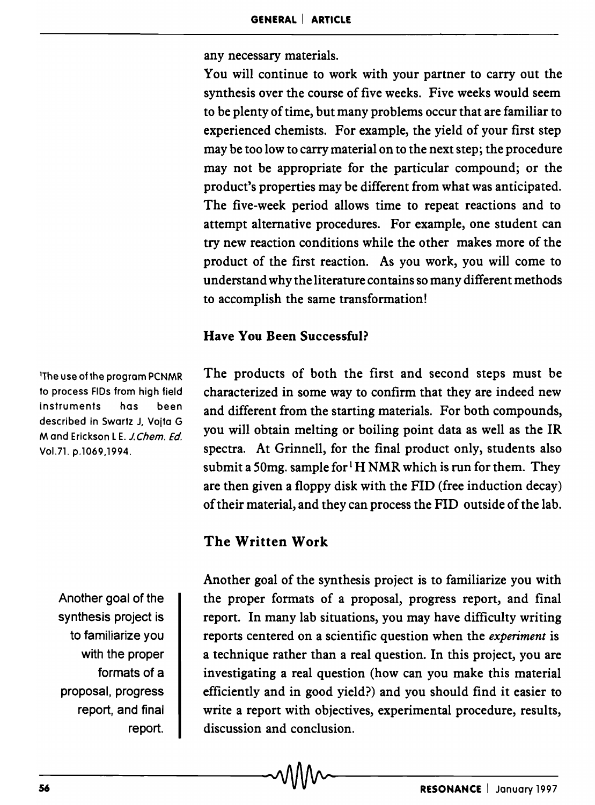any necessary materials.

You will continue to work with your partner to carry out the synthesis over the course of five weeks. Five weeks would seem to be plenty of time, but many problems occur that are familiar to experienced chemists. For example, the yield of your first step may be too low to carry material on to the next step; the procedure may not be appropriate for the particular compound; or the product's properties may be different from what was anticipated. The five-week period allows time to repeat reactions and to attempt alternative procedures. For example, one student can try new reaction conditions while the other makes more of the product of the first reaction. As you work, you will come to understand why the literature contains so many different methods to accomplish the same transformation!

### Have You Been Successful?

The products of both the first and second steps must be characterized in some way to confirm that they are indeed new and different from the starting materials. For both compounds, you will obtain melting or boiling point data as well as the IR spectra. At Grinnell, for the final product only, students also submit a 50mg. sample for  $H NMR$  which is run for them. They are then given a floppy disk with the FID (free induction decay) of their material, and they can process the FID outside of the lab.

# The Written Work

Another goal of the synthesis project is to familiarize you with the proper formats of a proposal, progress report, and final report. In many lab situations, you may have difficulty writing reports centered on a scientific question when the *experiment* is a technique rather than a real question. In this project, you are investigating a real question (how can you make this material efficiently and in good yield?) and you should find it easier to write a report with objectives, experimental procedure, results, discussion and conclusion. report.  $\blacksquare$  discussion and concrusion.

lThe use of the program PCNMR to process FIDs from high field instruments has been described in Swartz J, Voita G M and Erickson L E. J. Chem. Ed. VoL71. p.1069,1994.

> Another goal of the synthesis project is to familiarize you with the proper formats of a proposal, progress report, and final report.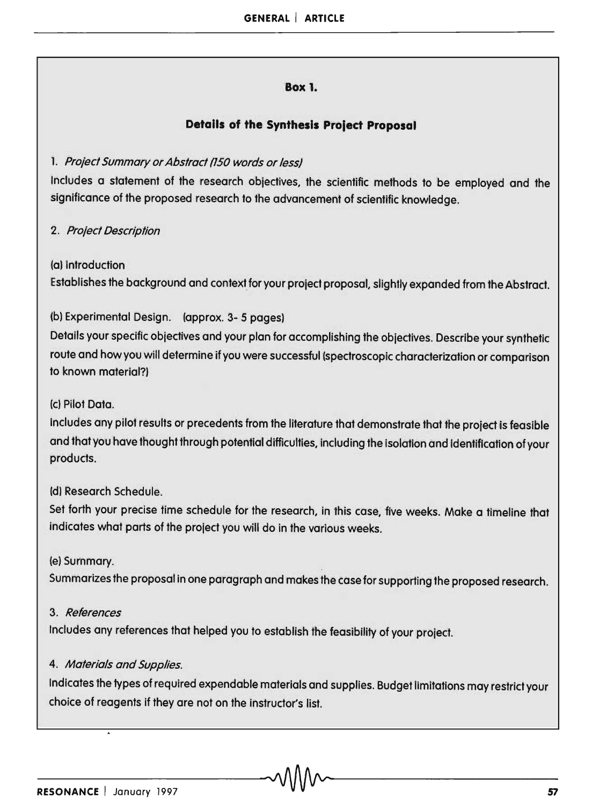#### **Box 1.**

#### **Details of the Synthesis Project Proposal**

#### 1. Project Summary or Abstract (150 words or less)

Includes a statement of the research objectives. the scientific methods to be employed and the significance of the proposed research to the advancement of scientific knowledge.

#### 2. Proiect Description

(a) Introduction

Establishes the background and context for your project proposal. slightly expanded from the Abstract.

#### (b) Experimental Design. (approx. 3- 5 pages)

Details your specific objectives and your plan for accomplishing the objectives. Describe your synthetic route and how you will determine if you were successful (spectroscopic characterization or comparison to known material?)

#### (c) Pilot Data.

Includes any pilot results or precedents from the literature that demonstrate that the project is feasible and that you have thought through potential difficulties. including the Isolation and Identification of your products.

#### (d) Research Schedule.

Set forth your precise time schedule for the research. in this case, five weeks. Make a timeline that indicates what parts of the project you will do in the various weeks.

#### (e) Summary.

Summarizes the proposal in one paragraph and makes the case for supporting the proposed research.

#### 3. References

Includes any references that helped you to establish the feasibility of your project.

#### 4. Materials and Supplies.

Indicates the types of required expendable materials and supplies. Budget limitations may restrict your choice of reagents if they are not on the instructor's list.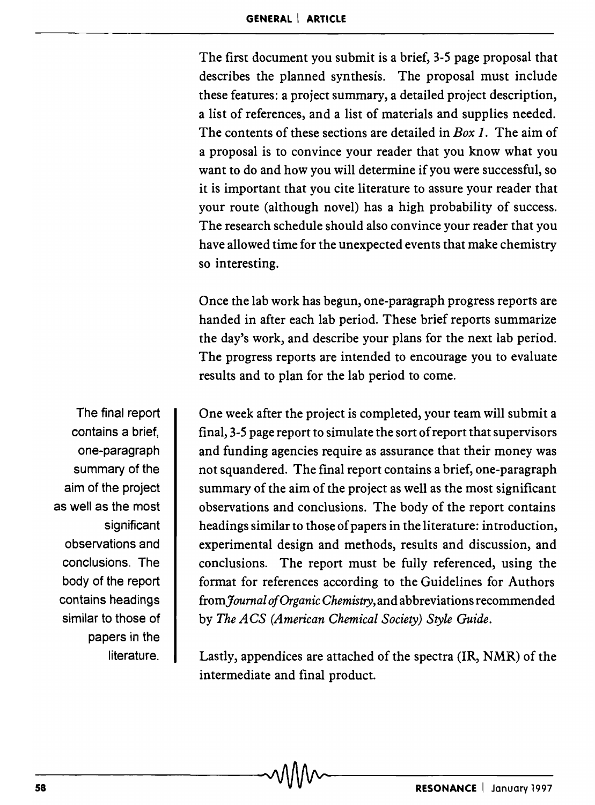The first document you submit is a brief, 3-5 page proposal that describes the planned synthesis. The proposal must include these features: a project summary, a detailed project description, a list of references, and a list of materials and supplies needed. The contents of these sections are detailed in *Box* 1. The aim of a proposal is to convince your reader that you know what you want to do and how you will determine if you were successful, so it is important that you cite literature to assure your reader that your route (although novel) has a high probability of success. The research schedule should also convince your reader that you have allowed time for the unexpected events that make chemistry so interesting.

Once the lab work has begun, one-paragraph progress reports are handed in after each lab period. These brief reports summarize the day's work, and describe your plans for the next lab period. The progress reports are intended to encourage you to evaluate results and to plan for the lab period to come.

One week after the project is completed, your team will submit a final, 3-5 page report to simulate the sort of report that supervisors and funding agencies require as assurance that their money was not squandered. The final report contains a brief, one-paragraph summary of the aim of the project as well as the most significant observations and conclusions. The body of the report contains headings similar to those of papers in the literature: introduction, experimental design and methods, results and discussion, and conclusions. The report must be fully referenced, using the format for references according to the Guidelines for Authors *fromJoumal o/Organic Chemistry,* and abbreviations recommended by *The ACS (American Chemical Society) Style Guide.* 

Lastly, appendices are attached of the spectra (IR, NMR) of the intermediate and final product.

The final report contains a brief, one-paragraph summary of the aim of the project as well as the most significant observations and conclusions. The body of the report contains headings similar to those of papers in the **literature**